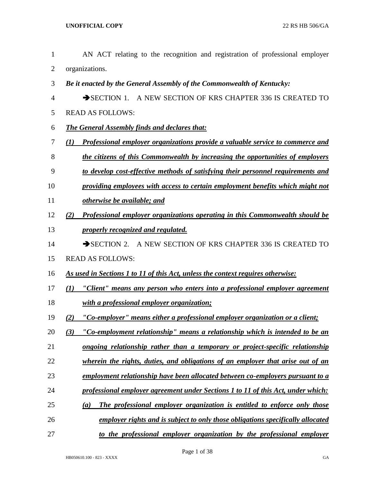- AN ACT relating to the recognition and registration of professional employer organizations.
- *Be it enacted by the General Assembly of the Commonwealth of Kentucky:*
- 4 SECTION 1. A NEW SECTION OF KRS CHAPTER 336 IS CREATED TO
- READ AS FOLLOWS:
- *The General Assembly finds and declares that:*
- *(1) Professional employer organizations provide a valuable service to commerce and*
- *the citizens of this Commonwealth by increasing the opportunities of employers*
- *to develop cost-effective methods of satisfying their personnel requirements and*
- *providing employees with access to certain employment benefits which might not*
- *otherwise be available; and*
- *(2) Professional employer organizations operating in this Commonwealth should be properly recognized and regulated.*
- 14 SECTION 2. A NEW SECTION OF KRS CHAPTER 336 IS CREATED TO
- READ AS FOLLOWS:
- *As used in Sections 1 to 11 of this Act, unless the context requires otherwise:*
- *(1) "Client" means any person who enters into a professional employer agreement*
- *with a professional employer organization;*
- *(2) "Co-employer" means either a professional employer organization or a client;*
- *(3) "Co-employment relationship" means a relationship which is intended to be an*
- *ongoing relationship rather than a temporary or project-specific relationship*
- *wherein the rights, duties, and obligations of an employer that arise out of an*
- *employment relationship have been allocated between co-employers pursuant to a*
- *professional employer agreement under Sections 1 to 11 of this Act, under which:*
- *(a) The professional employer organization is entitled to enforce only those*
- *employer rights and is subject to only those obligations specifically allocated*
- *to the professional employer organization by the professional employer*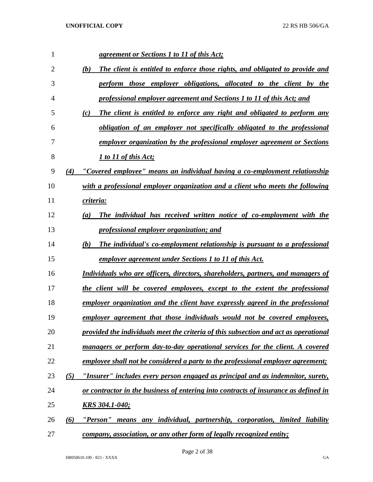| 1              |     | <u>agreement or Sections 1 to 11 of this Act;</u>                                        |
|----------------|-----|------------------------------------------------------------------------------------------|
| $\overline{2}$ |     | The client is entitled to enforce those rights, and obligated to provide and<br>(b)      |
| 3              |     | perform those employer obligations, allocated to the client by the                       |
| $\overline{4}$ |     | professional employer agreement and Sections 1 to 11 of this Act; and                    |
| 5              |     | The client is entitled to enforce any right and obligated to perform any<br>(c)          |
| 6              |     | obligation of an employer not specifically obligated to the professional                 |
| 7              |     | employer organization by the professional employer agreement or Sections                 |
| 8              |     | 1 to 11 of this Act;                                                                     |
| 9              | (4) | "Covered employee" means an individual having a co-employment relationship               |
| 10             |     | with a professional employer organization and a client who meets the following           |
| 11             |     | criteria:                                                                                |
| 12             |     | The individual has received written notice of co-employment with the<br>$\left(a\right)$ |
| 13             |     | professional employer organization; and                                                  |
| 14             |     | (b)<br>The individual's co-employment relationship is pursuant to a professional         |
| 15             |     | <u>employer agreement under Sections 1 to 11 of this Act.</u>                            |
| 16             |     | Individuals who are officers, directors, shareholders, partners, and managers of         |
| 17             |     | the client will be covered employees, except to the extent the professional              |
| 18             |     | <u>employer organization and the client have expressly agreed in the professional</u>    |
| 19             |     | employer agreement that those individuals would not be covered employees,                |
| 20             |     | provided the individuals meet the criteria of this subsection and act as operational     |
| 21             |     | managers or perform day-to-day operational services for the client. A covered            |
| 22             |     | employee shall not be considered a party to the professional employer agreement;         |
| 23             | (5) | "Insurer" includes every person engaged as principal and as indemnitor, surety,          |
| 24             |     | or contractor in the business of entering into contracts of insurance as defined in      |
| 25             |     | <u>KRS 304.1-040;</u>                                                                    |
| 26             | (6) | "Person" means any individual, partnership, corporation, limited liability               |
| 27             |     | company, association, or any other form of legally recognized entity;                    |

Page 2 of 38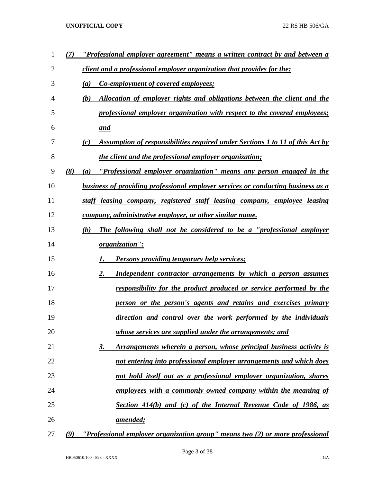| 1              |     | "Professional employer agreement" means a written contract by and between a          |
|----------------|-----|--------------------------------------------------------------------------------------|
| $\overline{2}$ |     | <i>client and a professional employer organization that provides for the:</i>        |
| 3              |     | Co-employment of covered employees;<br>(a)                                           |
| 4              |     | (b)<br>Allocation of employer rights and obligations between the client and the      |
| 5              |     | professional employer organization with respect to the covered employees;            |
| 6              |     | and                                                                                  |
| 7              |     | Assumption of responsibilities required under Sections 1 to 11 of this Act by<br>(c) |
| 8              |     | the client and the professional employer organization;                               |
| 9              | (8) | <u>"Professional employer organization" means any person engaged in the</u><br>(a)   |
| 10             |     | business of providing professional employer services or conducting business as a     |
| 11             |     | staff leasing company, registered staff leasing company, employee leasing            |
| 12             |     | company, administrative employer, or other similar name.                             |
| 13             |     | The following shall not be considered to be a "professional employer"<br>(b)         |
| 14             |     | organization":                                                                       |
| 15             |     | <b>Persons providing temporary help services;</b>                                    |
| 16             |     | 2.<br>Independent contractor arrangements by which a person assumes                  |
| 17             |     | <u>responsibility for the product produced or service performed by the</u>           |
| 18             |     | person or the person's agents and retains and exercises primary                      |
| 19             |     | direction and control over the work performed by the individuals                     |
| 20             |     | whose services are supplied under the arrangements; and                              |
| 21             |     | Arrangements wherein a person, whose principal business activity is<br><u>3.</u>     |
| 22             |     | not entering into professional employer arrangements and which does                  |
| 23             |     | not hold itself out as a professional employer organization, shares                  |
| 24             |     | employees with a commonly owned company within the meaning of                        |
| 25             |     | Section 414(b) and (c) of the Internal Revenue Code of 1986, as                      |
| 26             |     | <u>amended;</u>                                                                      |
| 27             | (9) | "Professional employer organization group" means two (2) or more professional        |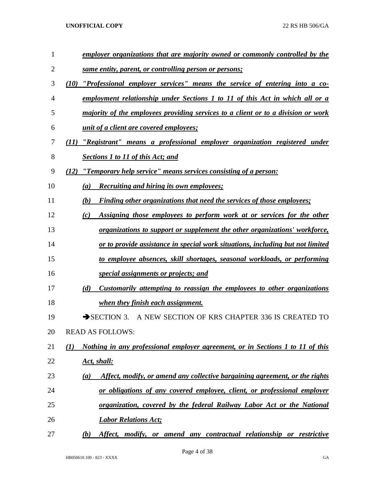| $\mathbf{1}$ | employer organizations that are majority owned or commonly controlled by the                       |
|--------------|----------------------------------------------------------------------------------------------------|
| 2            | same entity, parent, or controlling person or persons;                                             |
| 3            | "Professional employer services" means the service of entering into a co-<br>(10)                  |
| 4            | employment relationship under Sections 1 to 11 of this Act in which all or a                       |
| 5            | majority of the employees providing services to a client or to a division or work                  |
| 6            | <i>unit of a client are covered employees;</i>                                                     |
| 7            | "Registrant" means a professional employer organization registered under<br>(11)                   |
| 8            | <b>Sections 1 to 11 of this Act; and</b>                                                           |
| 9            | "Temporary help service" means services consisting of a person:<br>(12)                            |
| 10           | (a)<br><b>Recruiting and hiring its own employees;</b>                                             |
| 11           | (b)<br><b>Finding other organizations that need the services of those employees;</b>               |
| 12           | Assigning those employees to perform work at or services for the other<br>(c)                      |
| 13           | <i>organizations to support or supplement the other organizations' workforce,</i>                  |
| 14           | or to provide assistance in special work situations, including but not limited                     |
| 15           | to employee absences, skill shortages, seasonal workloads, or performing                           |
| 16           | special assignments or projects; and                                                               |
| 17           | (d)<br>Customarily attempting to reassign the employees to other organizations                     |
| 18           | when they finish each assignment.                                                                  |
| 19           | SECTION 3. A NEW SECTION OF KRS CHAPTER 336 IS CREATED TO                                          |
| 20           | <b>READ AS FOLLOWS:</b>                                                                            |
| 21           | Nothing in any professional employer agreement, or in Sections 1 to 11 of this<br>$\mathcal{L}(I)$ |
| 22           | <u>Act, shall:</u>                                                                                 |
| 23           | Affect, modify, or amend any collective bargaining agreement, or the rights<br>(a)                 |
| 24           | or obligations of any covered employee, client, or professional employer                           |
| 25           | organization, covered by the federal Railway Labor Act or the National                             |
| 26           | <b>Labor Relations Act;</b>                                                                        |
| 27           | Affect, modify, or amend any contractual relationship or restrictive<br>(b)                        |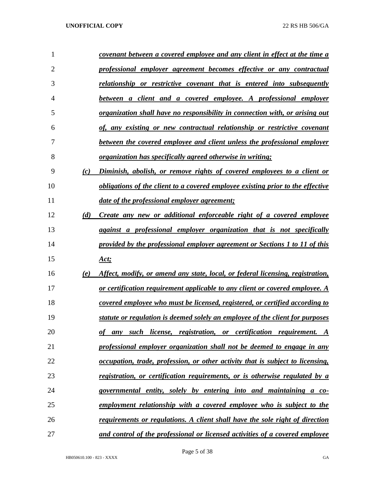| 1              |     | covenant between a covered employee and any client in effect at the time a            |
|----------------|-----|---------------------------------------------------------------------------------------|
| $\overline{2}$ |     | professional employer agreement becomes effective or any contractual                  |
| 3              |     | relationship or restrictive covenant that is entered into subsequently                |
| 4              |     | between a client and a covered employee. A professional employer                      |
| 5              |     | <u>organization shall have no responsibility in connection with, or arising out</u>   |
| 6              |     | of, any existing or new contractual relationship or restrictive covenant              |
| 7              |     | between the covered employee and client unless the professional employer              |
| 8              |     | <i>organization has specifically agreed otherwise in writing;</i>                     |
| 9              | (c) | Diminish, abolish, or remove rights of covered employees to a client or               |
| 10             |     | obligations of the client to a covered employee existing prior to the effective       |
| 11             |     | date of the professional employer agreement;                                          |
| 12             | (d) | Create any new or additional enforceable right of a covered employee                  |
| 13             |     | against a professional employer organization that is not specifically                 |
| 14             |     | provided by the professional employer agreement or Sections 1 to 11 of this           |
| 15             |     | <u>Act;</u>                                                                           |
| 16             | (e) | Affect, modify, or amend any state, local, or federal licensing, registration,        |
| 17             |     | or certification requirement applicable to any client or covered employee. A          |
| 18             |     | covered employee who must be licensed, registered, or certified according to          |
| 19             |     | statute or regulation is deemed solely an employee of the client for purposes         |
| 20             |     | any such license, registration, or certification requirement. A<br>оf                 |
| 21             |     | professional employer organization shall not be deemed to engage in any               |
| 22             |     | <u>occupation, trade, profession, or other activity that is subject to licensing,</u> |
| 23             |     | registration, or certification requirements, or is otherwise regulated by a           |
| 24             |     | governmental entity, solely by entering into and maintaining a co-                    |
| 25             |     | employment relationship with a covered employee who is subject to the                 |
| 26             |     | requirements or regulations. A client shall have the sole right of direction          |
| 27             |     | and control of the professional or licensed activities of a covered employee          |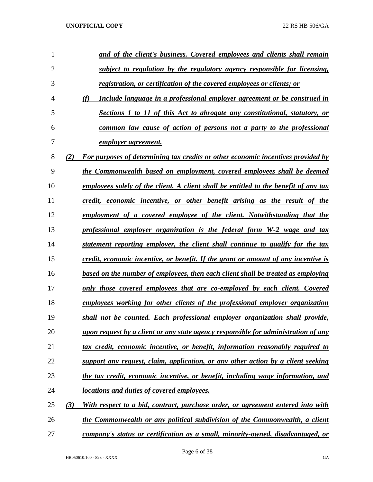| 1              |     | and of the client's business. Covered employees and clients shall remain                    |
|----------------|-----|---------------------------------------------------------------------------------------------|
| $\overline{2}$ |     | subject to regulation by the regulatory agency responsible for licensing,                   |
| 3              |     | registration, or certification of the covered employees or clients; or                      |
| $\overline{4}$ |     | (f)<br>Include language in a professional employer agreement or be construed in             |
| 5              |     | Sections 1 to 11 of this Act to abrogate any constitutional, statutory, or                  |
| 6              |     | common law cause of action of persons not a party to the professional                       |
| 7              |     | <u>employer agreement.</u>                                                                  |
| 8              | (2) | For purposes of determining tax credits or other economic incentives provided by            |
| 9              |     | the Commonwealth based on employment, covered employees shall be deemed                     |
| 10             |     | <u>employees solely of the client. A client shall be entitled to the benefit of any tax</u> |
| 11             |     | credit, economic incentive, or other benefit arising as the result of the                   |
| 12             |     | employment of a covered employee of the client. Notwithstanding that the                    |
| 13             |     | professional employer organization is the federal form W-2 wage and tax                     |
| 14             |     | statement reporting employer, the client shall continue to qualify for the tax              |
| 15             |     | credit, economic incentive, or benefit. If the grant or amount of any incentive is          |
| 16             |     | based on the number of employees, then each client shall be treated as employing            |
| 17             |     | only those covered employees that are co-employed by each client. Covered                   |
| 18             |     | employees working for other clients of the professional employer organization               |
| 19             |     | shall not be counted. Each professional employer organization shall provide,                |
| 20             |     | <u>upon request by a client or any state agency responsible for administration of any</u>   |
| 21             |     | tax credit, economic incentive, or benefit, information reasonably required to              |
| 22             |     | support any request, claim, application, or any other action by a client seeking            |
| 23             |     | the tax credit, economic incentive, or benefit, including wage information, and             |
| 24             |     | locations and duties of covered employees.                                                  |
| 25             | (3) | With respect to a bid, contract, purchase order, or agreement entered into with             |
| 26             |     | the Commonwealth or any political subdivision of the Commonwealth, a client                 |
| 27             |     | company's status or certification as a small, minority-owned, disadvantaged, or             |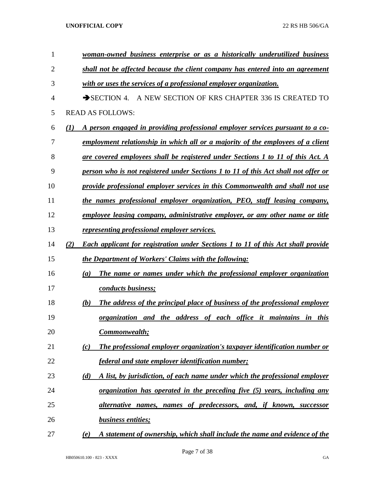| 1  | woman-owned business enterprise or as a historically underutilized business                    |
|----|------------------------------------------------------------------------------------------------|
| 2  | shall not be affected because the client company has entered into an agreement                 |
| 3  | with or uses the services of a professional employer organization.                             |
| 4  | A NEW SECTION OF KRS CHAPTER 336 IS CREATED TO<br>$\rightarrow$ SECTION 4.                     |
| 5  | <b>READ AS FOLLOWS:</b>                                                                        |
| 6  | A person engaged in providing professional employer services pursuant to a co-<br>(1)          |
| 7  | employment relationship in which all or a majority of the employees of a client                |
| 8  | are covered employees shall be registered under Sections 1 to 11 of this Act. A                |
| 9  | person who is not registered under Sections 1 to 11 of this Act shall not offer or             |
| 10 | provide professional employer services in this Commonwealth and shall not use                  |
| 11 | the names professional employer organization, PEO, staff leasing company,                      |
| 12 | employee leasing company, administrative employer, or any other name or title                  |
| 13 | representing professional employer services.                                                   |
| 14 | (2)<br><b>Each applicant for registration under Sections 1 to 11 of this Act shall provide</b> |
| 15 | the Department of Workers' Claims with the following:                                          |
| 16 | The name or names under which the professional employer organization<br>(a)                    |
| 17 | conducts business;                                                                             |
| 18 | The address of the principal place of business of the professional employer<br>(b)             |
| 19 | organization and the address of each office it maintains in this                               |
| 20 | Commonwealth;                                                                                  |
| 21 | The professional employer organization's taxpayer identification number or<br>(c)              |
| 22 | federal and state employer identification number;                                              |
| 23 | A list, by jurisdiction, of each name under which the professional employer<br>(d)             |
| 24 | organization has operated in the preceding five (5) years, including any                       |
| 25 | alternative names, names of predecessors, and, if known, successor                             |
| 26 | <b>business entities;</b>                                                                      |
| 27 | A statement of ownership, which shall include the name and evidence of the<br>(e)              |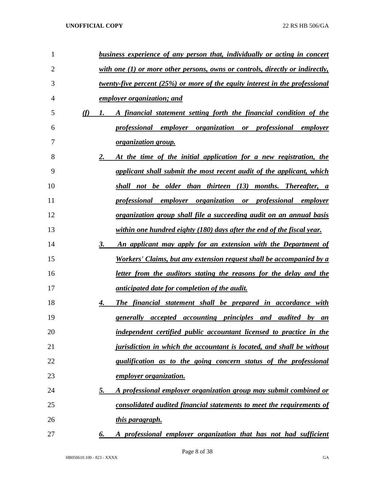| 1              |     | business experience of any person that, individually or acting in concert                  |
|----------------|-----|--------------------------------------------------------------------------------------------|
| $\overline{2}$ |     | with one $(1)$ or more other persons, owns or controls, directly or indirectly,            |
| 3              |     | twenty-five percent $(25%)$ or more of the equity interest in the professional             |
| 4              |     | employer organization; and                                                                 |
| 5              | (f) | A financial statement setting forth the financial condition of the<br>1.                   |
| 6              |     | professional employer organization or professional employer                                |
| 7              |     | <i>organization group.</i>                                                                 |
| 8              |     | 2.<br>At the time of the initial application for a new registration, the                   |
| 9              |     | applicant shall submit the most recent audit of the applicant, which                       |
| 10             |     | shall not be older than thirteen (13) months. Thereafter, a                                |
| 11             |     | professional employer organization or professional employer                                |
| 12             |     | organization group shall file a succeeding audit on an annual basis                        |
| 13             |     | within one hundred eighty (180) days after the end of the fiscal year.                     |
| 14             |     | 3.<br>An applicant may apply for an extension with the Department of                       |
| 15             |     | Workers' Claims, but any extension request shall be accompanied by a                       |
| 16             |     | <u>letter from the auditors stating the reasons for the delay and the</u>                  |
| 17             |     | <i>anticipated date for completion of the audit.</i>                                       |
| 18             |     | The financial statement shall be prepared in accordance with<br>4.                         |
| 19             |     | generally accepted accounting principles and audited<br>$b\nu$<br>an                       |
| 20             |     | independent certified public accountant licensed to practice in the                        |
| 21             |     | <i><u><b>jurisdiction in which the accountant is located, and shall be without</b></u></i> |
| 22             |     | qualification as to the going concern status of the professional                           |
| 23             |     | <i>employer organization.</i>                                                              |
| 24             |     | <u>5.</u><br><u>A professional employer organization group may submit combined or</u>      |
| 25             |     | consolidated audited financial statements to meet the requirements of                      |
| 26             |     | <u>this paragraph.</u>                                                                     |
| 27             |     | A professional employer organization that has not had sufficient<br>6.                     |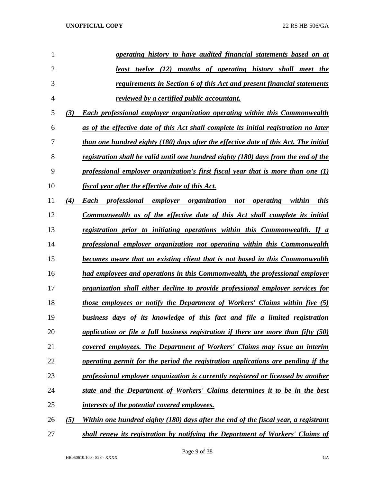| 1              |     | operating history to have audited financial statements based on at                     |
|----------------|-----|----------------------------------------------------------------------------------------|
| $\overline{2}$ |     | <u>least twelve (12) months of operating history shall meet the</u>                    |
| 3              |     | requirements in Section 6 of this Act and present financial statements                 |
| $\overline{4}$ |     | <i>reviewed by a certified public accountant.</i>                                      |
| 5              | (3) | Each professional employer organization operating within this Commonwealth             |
| 6              |     | as of the effective date of this Act shall complete its initial registration no later  |
| 7              |     | than one hundred eighty (180) days after the effective date of this Act. The initial   |
| 8              |     | registration shall be valid until one hundred eighty (180) days from the end of the    |
| 9              |     | professional employer organization's first fiscal year that is more than one $(1)$     |
| 10             |     | fiscal year after the effective date of this Act.                                      |
| 11             | (4) | Each professional employer organization not<br><i>operating</i> within<br>this         |
| 12             |     | Commonwealth as of the effective date of this Act shall complete its initial           |
| 13             |     | registration prior to initiating operations within this Commonwealth. If a             |
| 14             |     | professional employer organization not operating within this Commonwealth              |
| 15             |     | becomes aware that an existing client that is not based in this Commonwealth           |
| 16             |     | had employees and operations in this Commonwealth, the professional employer           |
| 17             |     | <u>organization shall either decline to provide professional employer services for</u> |
| 18             |     | <i>those employees or notify the Department of Workers' Claims within five (5)</i>     |
| 19             |     | business days of its knowledge of this fact and file a limited registration            |
| 20             |     | application or file a full business registration if there are more than fifty $(50)$   |
| 21             |     | covered employees. The Department of Workers' Claims may issue an interim              |
| 22             |     | operating permit for the period the registration applications are pending if the       |
| 23             |     | professional employer organization is currently registered or licensed by another      |
| 24             |     | state and the Department of Workers' Claims determines it to be in the best            |
| 25             |     | interests of the potential covered employees.                                          |
| 26             | (5) | Within one hundred eighty (180) days after the end of the fiscal year, a registrant    |
| 27             |     | shall renew its registration by notifying the Department of Workers' Claims of         |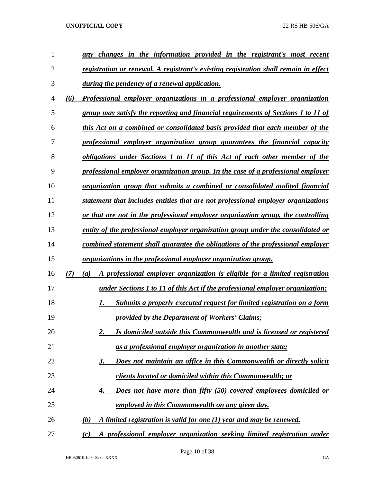| 1              | changes in the information provided in the registrant's most recent<br>anv                |
|----------------|-------------------------------------------------------------------------------------------|
| $\overline{2}$ | registration or renewal. A registrant's existing registration shall remain in effect      |
| 3              | during the pendency of a renewal application.                                             |
| 4              | Professional employer organizations in a professional employer organization<br>(6)        |
| 5              | group may satisfy the reporting and financial requirements of Sections 1 to 11 of         |
| 6              | this Act on a combined or consolidated basis provided that each member of the             |
| 7              | professional employer organization group guarantees the financial capacity                |
| 8              | obligations under Sections 1 to 11 of this Act of each other member of the                |
| 9              | professional employer organization group. In the case of a professional employer          |
| 10             | <u>organization group that submits a combined or consolidated audited financial</u>       |
| 11             | statement that includes entities that are not professional employer organizations         |
| 12             | or that are not in the professional employer organization group, the controlling          |
| 13             | entity of the professional employer organization group under the consolidated or          |
| 14             | combined statement shall guarantee the obligations of the professional employer           |
| 15             | organizations in the professional employer organization group.                            |
| 16             | (7)<br>A professional employer organization is eligible for a limited registration<br>(a) |
| 17             | under Sections 1 to 11 of this Act if the professional employer organization:             |
| 18             | <b>Submits a properly executed request for limited registration on a form</b><br>1.       |
| 19             | provided by the Department of Workers' Claims;                                            |
| 20             | Is domiciled outside this Commonwealth and is licensed or registered<br>2.                |
| 21             | as a professional employer organization in another state;                                 |
| 22             | Does not maintain an office in this Commonwealth or directly solicit<br><u>3.</u>         |
| 23             | clients located or domiciled within this Commonwealth; or                                 |
| 24             | Does not have more than fifty (50) covered employees domiciled or<br>4.                   |
| 25             | employed in this Commonwealth on any given day.                                           |
| 26             | A limited registration is valid for one (1) year and may be renewed.<br>(b)               |
| 27             | A professional employer organization seeking limited registration under<br>(c)            |

Page 10 of 38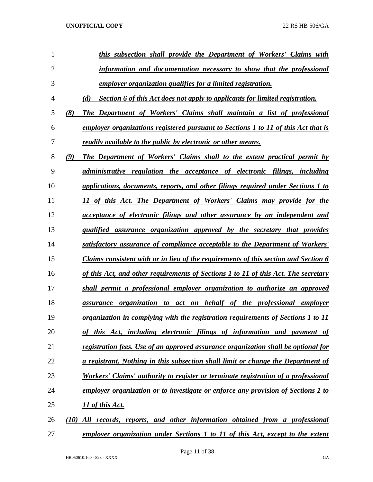| 1              |      | this subsection shall provide the Department of Workers' Claims with                      |
|----------------|------|-------------------------------------------------------------------------------------------|
| $\overline{2}$ |      | information and documentation necessary to show that the professional                     |
| 3              |      | employer organization qualifies for a limited registration.                               |
| $\overline{4}$ |      | Section 6 of this Act does not apply to applicants for limited registration.<br>(d)       |
| 5              | (8)  | The Department of Workers' Claims shall maintain a list of professional                   |
| 6              |      | employer organizations registered pursuant to Sections 1 to 11 of this Act that is        |
| 7              |      | readily available to the public by electronic or other means.                             |
| 8              | (9)  | The Department of Workers' Claims shall to the extent practical permit by                 |
| 9              |      | administrative regulation the acceptance of electronic filings, including                 |
| 10             |      | applications, documents, reports, and other filings required under Sections 1 to          |
| 11             |      | 11 of this Act. The Department of Workers' Claims may provide for the                     |
| 12             |      | acceptance of electronic filings and other assurance by an independent and                |
| 13             |      | qualified assurance organization approved by the secretary that provides                  |
| 14             |      | satisfactory assurance of compliance acceptable to the Department of Workers'             |
| 15             |      | Claims consistent with or in lieu of the requirements of this section and Section 6       |
| 16             |      | of this Act, and other requirements of Sections 1 to 11 of this Act. The secretary        |
| 17             |      | shall permit a professional employer organization to authorize an approved                |
| 18             |      | assurance organization to act on behalf of the professional employer                      |
| 19             |      | organization in complying with the registration requirements of Sections 1 to 11          |
| 20             |      | of this Act, including electronic filings of information and payment of                   |
| 21             |      | registration fees. Use of an approved assurance organization shall be optional for        |
| 22             |      | a registrant. Nothing in this subsection shall limit or change the Department of          |
| 23             |      | <u>Workers' Claims' authority to register or terminate registration of a professional</u> |
| 24             |      | employer organization or to investigate or enforce any provision of Sections 1 to         |
| 25             |      | <u>11 of this Act.</u>                                                                    |
| 26             | (10) | All records, reports, and other information obtained from a professional                  |
| 27             |      | employer organization under Sections 1 to 11 of this Act, except to the extent            |

Page 11 of 38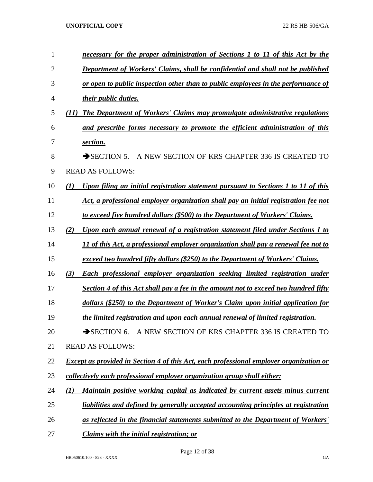| 1              | necessary for the proper administration of Sections 1 to 11 of this Act by the                 |
|----------------|------------------------------------------------------------------------------------------------|
| $\overline{2}$ | Department of Workers' Claims, shall be confidential and shall not be published                |
| 3              | or open to public inspection other than to public employees in the performance of              |
| 4              | <i>their public duties.</i>                                                                    |
| 5              | The Department of Workers' Claims may promulgate administrative regulations<br>(II)            |
| 6              | and prescribe forms necessary to promote the efficient administration of this                  |
| 7              | section.                                                                                       |
| 8              | $\rightarrow$ SECTION 5.<br>A NEW SECTION OF KRS CHAPTER 336 IS CREATED TO                     |
| 9              | <b>READ AS FOLLOWS:</b>                                                                        |
| 10             | Upon filing an initial registration statement pursuant to Sections 1 to 11 of this<br>(1)      |
| 11             | Act, a professional employer organization shall pay an initial registration fee not            |
| 12             | to exceed five hundred dollars (\$500) to the Department of Workers' Claims.                   |
| 13             | Upon each annual renewal of a registration statement filed under Sections 1 to<br>(2)          |
| 14             | 11 of this Act, a professional employer organization shall pay a renewal fee not to            |
| 15             | exceed two hundred fifty dollars (\$250) to the Department of Workers' Claims.                 |
| 16             | (3)<br>Each professional employer organization seeking limited registration under              |
| 17             | Section 4 of this Act shall pay a fee in the amount not to exceed two hundred fifty            |
| 18             | dollars (\$250) to the Department of Worker's Claim upon initial application for               |
| 19             | the limited registration and upon each annual renewal of limited registration.                 |
| 20             | SECTION 6. A NEW SECTION OF KRS CHAPTER 336 IS CREATED TO                                      |
| 21             | <b>READ AS FOLLOWS:</b>                                                                        |
| 22             | <b>Except as provided in Section 4 of this Act, each professional employer organization or</b> |
| 23             | collectively each professional employer organization group shall either:                       |
| 24             | Maintain positive working capital as indicated by current assets minus current<br>(1)          |
| 25             | liabilities and defined by generally accepted accounting principles at registration            |
| 26             | as reflected in the financial statements submitted to the Department of Workers'               |
| 27             | Claims with the initial registration; or                                                       |

Page 12 of 38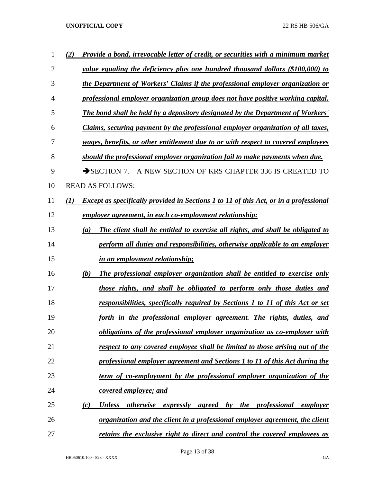| 1              | Provide a bond, irrevocable letter of credit, or securities with a minimum market<br>(2)            |
|----------------|-----------------------------------------------------------------------------------------------------|
| $\overline{2}$ | value equaling the deficiency plus one hundred thousand dollars (\$100,000) to                      |
| 3              | the Department of Workers' Claims if the professional employer organization or                      |
| $\overline{4}$ | professional employer organization group does not have positive working capital.                    |
| 5              | The bond shall be held by a depository designated by the Department of Workers'                     |
| 6              | Claims, securing payment by the professional employer organization of all taxes,                    |
| 7              | wages, benefits, or other entitlement due to or with respect to covered employees                   |
| 8              | should the professional employer organization fail to make payments when due.                       |
| 9              | A NEW SECTION OF KRS CHAPTER 336 IS CREATED TO<br>$\rightarrow$ SECTION 7.                          |
| 10             | <b>READ AS FOLLOWS:</b>                                                                             |
| 11             | <b>Except as specifically provided in Sections 1 to 11 of this Act, or in a professional</b><br>(I) |
| 12             | employer agreement, in each co-employment relationship:                                             |
| 13             | The client shall be entitled to exercise all rights, and shall be obligated to<br>(a)               |
| 14             | perform all duties and responsibilities, otherwise applicable to an employer                        |
| 15             | in an employment relationship;                                                                      |
| 16             | The professional employer organization shall be entitled to exercise only<br>(b)                    |
| 17             | those rights, and shall be obligated to perform only those duties and                               |
| 18             | responsibilities, specifically required by Sections 1 to 11 of this Act or set                      |
| 19             | forth in the professional employer agreement. The rights, duties, and                               |
| 20             | obligations of the professional employer organization as co-employer with                           |
| 21             | <u>respect to any covered employee shall be limited to those arising out of the</u>                 |
| 22             | professional employer agreement and Sections 1 to 11 of this Act during the                         |
| 23             | term of co-employment by the professional employer organization of the                              |
| 24             | <b>covered employee; and</b>                                                                        |
| 25             | (c)<br><b>Unless</b><br><i>otherwise</i><br>expressly agreed by the professional<br>employer        |
| 26             | <u>organization and the client in a professional employer agreement, the client</u>                 |
| 27             | retains the exclusive right to direct and control the covered employees as                          |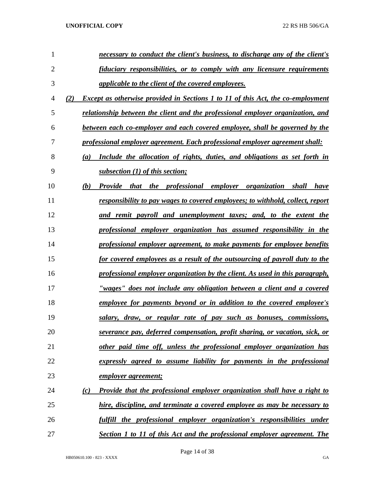| 1              | necessary to conduct the client's business, to discharge any of the client's            |
|----------------|-----------------------------------------------------------------------------------------|
| $\overline{2}$ | fiduciary responsibilities, or to comply with any licensure requirements                |
| 3              | applicable to the client of the covered employees.                                      |
| 4              | <b>Except as otherwise provided in Sections 1 to 11 of this Act, the co-employment</b>  |
| 5              | relationship between the client and the professional employer organization, and         |
| 6              | between each co-employer and each covered employee, shall be governed by the            |
| 7              | professional employer agreement. Each professional employer agreement shall:            |
| 8              | Include the allocation of rights, duties, and obligations as set forth in<br>(a)        |
| 9              | subsection $(1)$ of this section;                                                       |
| 10             | Provide that the professional employer organization shall<br>(b)<br><i>have</i>         |
| 11             | responsibility to pay wages to covered employees; to withhold, collect, report          |
| 12             | and remit payroll and unemployment taxes; and, to the extent the                        |
| 13             | professional employer organization has assumed responsibility in the                    |
| 14             | professional employer agreement, to make payments for employee benefits                 |
| 15             | for covered employees as a result of the outsourcing of payroll duty to the             |
| 16             | professional employer organization by the client. As used in this paragraph,            |
| 17             | "wages" does not include any obligation between a client and a covered                  |
| 18             | employee for payments beyond or in addition to the covered employee's                   |
| 19             | salary, draw, or regular rate of pay such as bonuses, commissions,                      |
| 20             | severance pay, deferred compensation, profit sharing, or vacation, sick, or             |
| 21             | other paid time off, unless the professional employer organization has                  |
| 22             | expressly agreed to assume liability for payments in the professional                   |
| 23             | employer agreement;                                                                     |
| 24             | <b>Provide that the professional employer organization shall have a right to</b><br>(c) |
| 25             | hire, discipline, and terminate a covered employee as may be necessary to               |
| 26             | fulfill the professional employer organization's responsibilities under                 |
| 27             | Section 1 to 11 of this Act and the professional employer agreement. The                |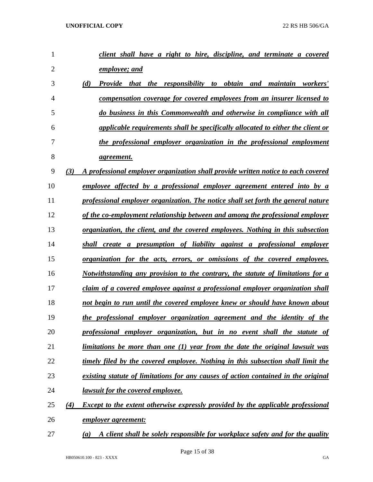| 1              |     | client shall have a right to hire, discipline, and terminate a covered                  |
|----------------|-----|-----------------------------------------------------------------------------------------|
| $\overline{2}$ |     | employee; and                                                                           |
| 3              | (d) | <b>Provide</b> that the<br>responsibility to obtain<br>maintain workers'<br>and         |
| $\overline{4}$ |     | compensation coverage for covered employees from an insurer licensed to                 |
| 5              |     | do business in this Commonwealth and otherwise in compliance with all                   |
| 6              |     | applicable requirements shall be specifically allocated to either the client or         |
| 7              |     | the professional employer organization in the professional employment                   |
| 8              |     | <i>agreement.</i>                                                                       |
| 9              | (3) | A professional employer organization shall provide written notice to each covered       |
| 10             |     | employee affected by a professional employer agreement entered into by a                |
| 11             |     | professional employer organization. The notice shall set forth the general nature       |
| 12             |     | of the co-employment relationship between and among the professional employer           |
| 13             |     | <u>organization, the client, and the covered employees. Nothing in this subsection</u>  |
| 14             |     | shall create a presumption of liability against a professional employer                 |
| 15             |     | <u>organization for the acts, errors, or omissions of the covered employees.</u>        |
| 16             |     | Notwithstanding any provision to the contrary, the statute of limitations for a         |
| 17             |     | claim of a covered employee against a professional employer organization shall          |
| 18             |     | not begin to run until the covered employee knew or should have known about             |
| 19             |     | the professional employer organization agreement and the identity of the                |
| 20             |     | professional employer organization, but in no event shall the statute of                |
| 21             |     | limitations be more than one (1) year from the date the original lawsuit was            |
| 22             |     | timely filed by the covered employee. Nothing in this subsection shall limit the        |
| 23             |     | existing statute of limitations for any causes of action contained in the original      |
| 24             |     | lawsuit for the covered employee.                                                       |
| 25             | (4) | <b>Except to the extent otherwise expressly provided by the applicable professional</b> |
| 26             |     | <u>employer agreement:</u>                                                              |
| 27             | (a) | A client shall be solely responsible for workplace safety and for the quality           |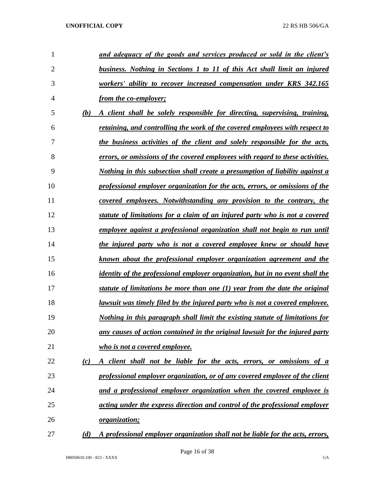| 1              |     | and adequacy of the goods and services produced or sold in the client's              |
|----------------|-----|--------------------------------------------------------------------------------------|
| $\overline{2}$ |     | business. Nothing in Sections 1 to 11 of this Act shall limit an injured             |
| 3              |     | workers' ability to recover increased compensation under KRS 342.165                 |
| 4              |     | <i>from the co-employer;</i>                                                         |
| 5              | (b) | A client shall be solely responsible for directing, supervising, training,           |
| 6              |     | retaining, and controlling the work of the covered employees with respect to         |
| 7              |     | the business activities of the client and solely responsible for the acts,           |
| 8              |     | errors, or omissions of the covered employees with regard to these activities.       |
| 9              |     | Nothing in this subsection shall create a presumption of liability against a         |
| 10             |     | professional employer organization for the acts, errors, or omissions of the         |
| 11             |     | covered employees. Notwithstanding any provision to the contrary, the                |
| 12             |     | statute of limitations for a claim of an injured party who is not a covered          |
| 13             |     | employee against a professional organization shall not begin to run until            |
| 14             |     | the injured party who is not a covered employee knew or should have                  |
| 15             |     | known about the professional employer organization agreement and the                 |
| 16             |     | <i>identity of the professional employer organization, but in no event shall the</i> |
| 17             |     | statute of limitations be more than one $(1)$ year from the date the original        |
| 18             |     | lawsuit was timely filed by the injured party who is not a covered employee.         |
| 19             |     | Nothing in this paragraph shall limit the existing statute of limitations for        |
| 20             |     | any causes of action contained in the original lawsuit for the injured party         |
| 21             |     | who is not a covered employee.                                                       |
| 22             | (c) | A client shall not be liable for the acts, errors, or omissions of a                 |
| 23             |     | professional employer organization, or of any covered employee of the client         |
| 24             |     | and a professional employer organization when the covered employee is                |
| 25             |     | acting under the express direction and control of the professional employer          |
| 26             |     | organization;                                                                        |
| 27             | (d) | A professional employer organization shall not be liable for the acts, errors,       |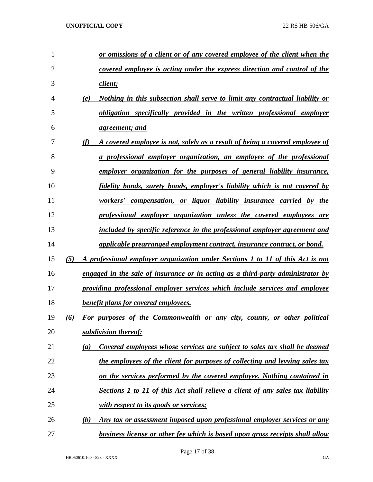| 1              | or omissions of a client or of any covered employee of the client when the             |
|----------------|----------------------------------------------------------------------------------------|
| $\overline{2}$ | covered employee is acting under the express direction and control of the              |
| 3              | client;                                                                                |
| 4              | Nothing in this subsection shall serve to limit any contractual liability or<br>(e)    |
| 5              | obligation specifically provided in the written professional employer                  |
| 6              | <u>agreement; and</u>                                                                  |
| 7              | (f)<br>A covered employee is not, solely as a result of being a covered employee of    |
| 8              | a professional employer organization, an employee of the professional                  |
| 9              | employer organization for the purposes of general liability insurance,                 |
| 10             | fidelity bonds, surety bonds, employer's liability which is not covered by             |
| 11             | workers' compensation, or liquor liability insurance carried by the                    |
| 12             | professional employer organization unless the covered employees are                    |
| 13             | included by specific reference in the professional employer agreement and              |
| 14             | applicable prearranged employment contract, insurance contract, or bond.               |
| 15             | (5)<br>A professional employer organization under Sections 1 to 11 of this Act is not  |
| 16             | <u>engaged in the sale of insurance or in acting as a third-party administrator by</u> |
| 17             | providing professional employer services which include services and employee           |
| 18             | <b>benefit plans for covered employees.</b>                                            |
| 19             | (6)<br>For purposes of the Commonwealth or any city, county, or other political        |
| 20             | subdivision thereof:                                                                   |
| 21             | Covered employees whose services are subject to sales tax shall be deemed<br>(a)       |
| 22             | the employees of the client for purposes of collecting and levying sales tax           |
| 23             | on the services performed by the covered employee. Nothing contained in                |
| 24             | Sections 1 to 11 of this Act shall relieve a client of any sales tax liability         |
| 25             | <u>with respect to its goods or services;</u>                                          |
| 26             | Any tax or assessment imposed upon professional employer services or any<br>(b)        |
| 27             | <b>business license or other fee which is based upon gross receipts shall allow</b>    |

Page 17 of 38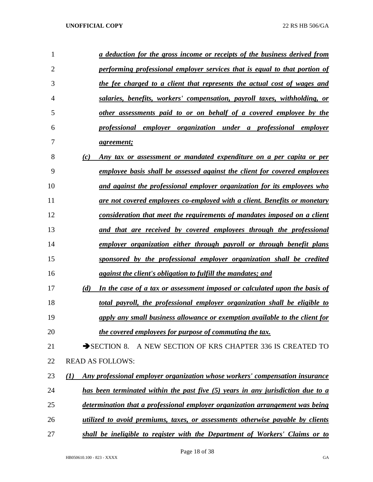| 1  |                  | a deduction for the gross income or receipts of the business derived from         |
|----|------------------|-----------------------------------------------------------------------------------|
| 2  |                  | <u>performing professional employer services that is equal to that portion of</u> |
| 3  |                  | the fee charged to a client that represents the actual cost of wages and          |
| 4  |                  | salaries, benefits, workers' compensation, payroll taxes, withholding, or         |
| 5  |                  | <u>other assessments paid to or on behalf of a covered employee by the</u>        |
| 6  |                  | professional employer organization under a professional employer                  |
| 7  |                  | <u>agreement;</u>                                                                 |
| 8  | (c)              | Any tax or assessment or mandated expenditure on a per capita or per              |
| 9  |                  | <u>employee basis shall be assessed against the client for covered employees</u>  |
| 10 |                  | and against the professional employer organization for its employees who          |
| 11 |                  | are not covered employees co-employed with a client. Benefits or monetary         |
| 12 |                  | consideration that meet the requirements of mandates imposed on a client          |
| 13 |                  | and that are received by covered employees through the professional               |
| 14 |                  | employer organization either through payroll or through benefit plans             |
| 15 |                  | sponsored by the professional employer organization shall be credited             |
| 16 |                  | against the client's obligation to fulfill the mandates; and                      |
| 17 | (d)              | In the case of a tax or assessment imposed or calculated upon the basis of        |
| 18 |                  | total payroll, the professional employer organization shall be eligible to        |
| 19 |                  | apply any small business allowance or exemption available to the client for       |
| 20 |                  | the covered employees for purpose of commuting the tax.                           |
| 21 |                  | $\rightarrow$ SECTION 8.<br>A NEW SECTION OF KRS CHAPTER 336 IS CREATED TO        |
| 22 |                  | <b>READ AS FOLLOWS:</b>                                                           |
| 23 | $\mathcal{L}(I)$ | Any professional employer organization whose workers' compensation insurance      |
| 24 |                  | has been terminated within the past five $(5)$ years in any jurisdiction due to a |
| 25 |                  | determination that a professional employer organization arrangement was being     |
| 26 |                  | utilized to avoid premiums, taxes, or assessments otherwise payable by clients    |
| 27 |                  | shall be ineligible to register with the Department of Workers' Claims or to      |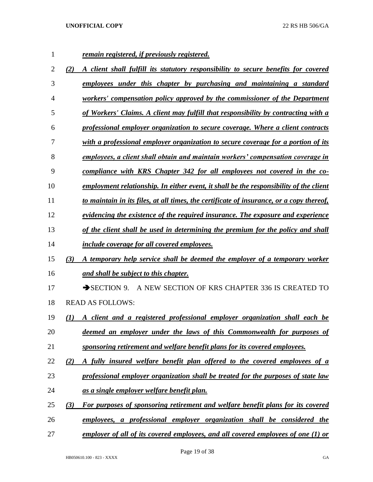| 1  | remain registered, if previously registered.                                              |
|----|-------------------------------------------------------------------------------------------|
| 2  | (2)<br>A client shall fulfill its statutory responsibility to secure benefits for covered |
| 3  | employees under this chapter by purchasing and maintaining a standard                     |
| 4  | workers' compensation policy approved by the commissioner of the Department               |
| 5  | of Workers' Claims. A client may fulfill that responsibility by contracting with a        |
| 6  | professional employer organization to secure coverage. Where a client contracts           |
| 7  | with a professional employer organization to secure coverage for a portion of its         |
| 8  | employees, a client shall obtain and maintain workers' compensation coverage in           |
| 9  | compliance with KRS Chapter 342 for all employees not covered in the co-                  |
| 10 | employment relationship. In either event, it shall be the responsibility of the client    |
| 11 | to maintain in its files, at all times, the certificate of insurance, or a copy thereof,  |
| 12 | evidencing the existence of the required insurance. The exposure and experience           |
| 13 | of the client shall be used in determining the premium for the policy and shall           |
| 14 | include coverage for all covered employees.                                               |
| 15 | A temporary help service shall be deemed the employer of a temporary worker<br>(3)        |
| 16 | and shall be subject to this chapter.                                                     |
| 17 | A NEW SECTION OF KRS CHAPTER 336 IS CREATED TO<br>$\rightarrow$ SECTION 9.                |
| 18 | <b>READ AS FOLLOWS:</b>                                                                   |
| 19 | A client and a registered professional employer organization shall each be<br>$\bf(1)$    |
| 20 | deemed an employer under the laws of this Commonwealth for purposes of                    |
| 21 | sponsoring retirement and welfare benefit plans for its covered employees.                |
| 22 | A fully insured welfare benefit plan offered to the covered employees of a<br>(2)         |
| 23 | professional employer organization shall be treated for the purposes of state law         |
| 24 | as a single employer welfare benefit plan.                                                |
| 25 | For purposes of sponsoring retirement and welfare benefit plans for its covered<br>(3)    |
| 26 | employees, a professional employer organization shall be considered the                   |
| 27 | employer of all of its covered employees, and all covered employees of one (1) or         |

Page 19 of 38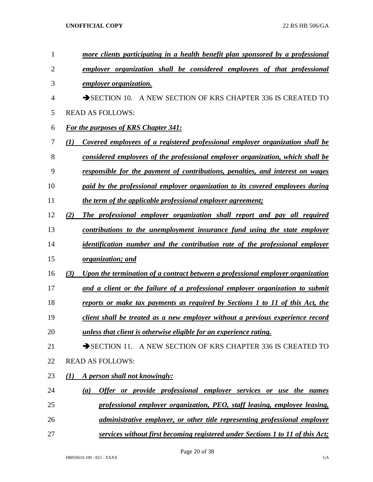| $\mathbf{1}$   | more clients participating in a health benefit plan sponsored by a professional        |
|----------------|----------------------------------------------------------------------------------------|
| $\overline{2}$ | employer organization shall be considered employees of that professional               |
| 3              | <i>employer organization.</i>                                                          |
| 4              | SECTION 10. A NEW SECTION OF KRS CHAPTER 336 IS CREATED TO                             |
| 5              | <b>READ AS FOLLOWS:</b>                                                                |
| 6              | For the purposes of KRS Chapter 341:                                                   |
| 7              | Covered employees of a registered professional employer organization shall be<br>(1)   |
| 8              | considered employees of the professional employer organization, which shall be         |
| 9              | <u>responsible for the payment of contributions, penalties, and interest on wages</u>  |
| 10             | paid by the professional employer organization to its covered employees during         |
| 11             | the term of the applicable professional employer agreement;                            |
| 12             | (2)<br>The professional employer organization shall report and pay all required        |
| 13             | <u>contributions to the unemployment insurance fund using the state employer</u>       |
| 14             | identification number and the contribution rate of the professional employer           |
| 15             | <i>organization; and</i>                                                               |
| 16             | (3)<br>Upon the termination of a contract between a professional employer organization |
| 17             | and a client or the failure of a professional employer organization to submit          |
| 18             | <u>reports or make tax payments as required by Sections 1 to 11 of this Act, the</u>   |
| 19             | client shall be treated as a new employer without a previous experience record         |
| 20             | unless that client is otherwise eligible for an experience rating.                     |
| 21             | SECTION 11. A NEW SECTION OF KRS CHAPTER 336 IS CREATED TO                             |
| 22             | <b>READ AS FOLLOWS:</b>                                                                |
| 23             | A person shall not knowingly:<br>(I)                                                   |
| 24             | Offer or provide professional employer services or use the names<br>(a)                |
| 25             | professional employer organization, PEO, staff leasing, employee leasing,              |
| 26             | <i>administrative employer, or other title representing professional employer</i>      |
| 27             | services without first becoming registered under Sections 1 to 11 of this Act;         |

Page 20 of 38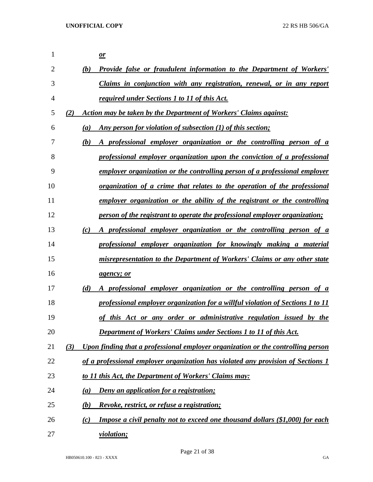| 1              |     | $\mathbf{\underline{\mathit{or}}}$                                                         |
|----------------|-----|--------------------------------------------------------------------------------------------|
| $\overline{2}$ |     | Provide false or fraudulent information to the Department of Workers'<br>(b)               |
| 3              |     | Claims in conjunction with any registration, renewal, or in any report                     |
| 4              |     | required under Sections 1 to 11 of this Act.                                               |
| 5              | (2) | Action may be taken by the Department of Workers' Claims against:                          |
| 6              |     | Any person for violation of subsection (1) of this section;<br>(a)                         |
| 7              |     | A professional employer organization or the controlling person of a<br>(b)                 |
| 8              |     | professional employer organization upon the conviction of a professional                   |
| 9              |     | employer organization or the controlling person of a professional employer                 |
| 10             |     | <u>organization of a crime that relates to the operation of the professional</u>           |
| 11             |     | employer organization or the ability of the registrant or the controlling                  |
| 12             |     | person of the registrant to operate the professional employer organization;                |
| 13             |     | A professional employer organization or the controlling person of a<br>(c)                 |
| 14             |     | professional employer organization for knowingly making a material                         |
| 15             |     | misrepresentation to the Department of Workers' Claims or any other state                  |
| 16             |     | <i>agency; or</i>                                                                          |
| 17             |     | A professional employer organization or the controlling person of a<br>(d)                 |
| 18             |     | professional employer organization for a willful violation of Sections 1 to 11             |
| 19             |     | of this Act or any order or administrative regulation issued by the                        |
| 20             |     | <b>Department of Workers' Claims under Sections 1 to 11 of this Act.</b>                   |
| 21             | (3) | Upon finding that a professional employer organization or the controlling person           |
| 22             |     | of a professional employer organization has violated any provision of Sections 1           |
| 23             |     | to 11 this Act, the Department of Workers' Claims may:                                     |
| 24             |     | <b>Deny an application for a registration;</b><br>(a)                                      |
| 25             |     | Revoke, restrict, or refuse a registration;<br>(b)                                         |
| 26             |     | <b>Impose a civil penalty not to exceed one thousand dollars (\$1,000) for each</b><br>(c) |
| 27             |     | <i>violation;</i>                                                                          |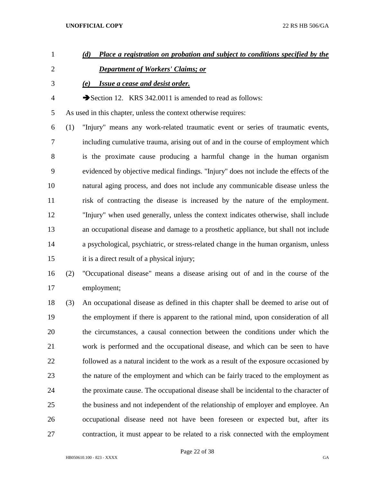- *(d) Place a registration on probation and subject to conditions specified by the Department of Workers' Claims; or (e) Issue a cease and desist order.*  4 Section 12. KRS 342.0011 is amended to read as follows: As used in this chapter, unless the context otherwise requires: (1) "Injury" means any work-related traumatic event or series of traumatic events, including cumulative trauma, arising out of and in the course of employment which is the proximate cause producing a harmful change in the human organism evidenced by objective medical findings. "Injury" does not include the effects of the natural aging process, and does not include any communicable disease unless the risk of contracting the disease is increased by the nature of the employment. "Injury" when used generally, unless the context indicates otherwise, shall include an occupational disease and damage to a prosthetic appliance, but shall not include
- a psychological, psychiatric, or stress-related change in the human organism, unless it is a direct result of a physical injury;
- (2) "Occupational disease" means a disease arising out of and in the course of the employment;
- (3) An occupational disease as defined in this chapter shall be deemed to arise out of the employment if there is apparent to the rational mind, upon consideration of all the circumstances, a causal connection between the conditions under which the work is performed and the occupational disease, and which can be seen to have followed as a natural incident to the work as a result of the exposure occasioned by the nature of the employment and which can be fairly traced to the employment as the proximate cause. The occupational disease shall be incidental to the character of the business and not independent of the relationship of employer and employee. An occupational disease need not have been foreseen or expected but, after its contraction, it must appear to be related to a risk connected with the employment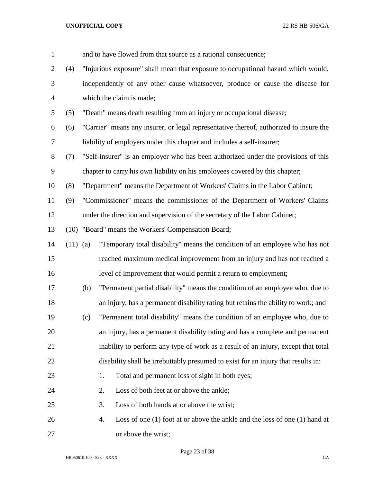| $\mathbf{1}$   |            |     | and to have flowed from that source as a rational consequence;                         |
|----------------|------------|-----|----------------------------------------------------------------------------------------|
| $\overline{2}$ | (4)        |     | "Injurious exposure" shall mean that exposure to occupational hazard which would,      |
| 3              |            |     | independently of any other cause whatsoever, produce or cause the disease for          |
| $\overline{4}$ |            |     | which the claim is made;                                                               |
| 5              | (5)        |     | "Death" means death resulting from an injury or occupational disease;                  |
| 6              | (6)        |     | "Carrier" means any insurer, or legal representative thereof, authorized to insure the |
| $\overline{7}$ |            |     | liability of employers under this chapter and includes a self-insurer;                 |
| $8\,$          | (7)        |     | "Self-insurer" is an employer who has been authorized under the provisions of this     |
| 9              |            |     | chapter to carry his own liability on his employees covered by this chapter;           |
| 10             | (8)        |     | "Department" means the Department of Workers' Claims in the Labor Cabinet;             |
| 11             | (9)        |     | "Commissioner" means the commissioner of the Department of Workers' Claims             |
| 12             |            |     | under the direction and supervision of the secretary of the Labor Cabinet;             |
| 13             |            |     | (10) "Board" means the Workers' Compensation Board;                                    |
| 14             | $(11)$ (a) |     | "Temporary total disability" means the condition of an employee who has not            |
| 15             |            |     | reached maximum medical improvement from an injury and has not reached a               |
| 16             |            |     | level of improvement that would permit a return to employment;                         |
| 17             |            | (b) | "Permanent partial disability" means the condition of an employee who, due to          |
| 18             |            |     | an injury, has a permanent disability rating but retains the ability to work; and      |
| 19             |            | (c) | "Permanent total disability" means the condition of an employee who, due to            |
| 20             |            |     | an injury, has a permanent disability rating and has a complete and permanent          |
| 21             |            |     | inability to perform any type of work as a result of an injury, except that total      |
| 22             |            |     | disability shall be irrebuttably presumed to exist for an injury that results in:      |
| 23             |            |     | Total and permanent loss of sight in both eyes;<br>1.                                  |
| 24             |            |     | 2.<br>Loss of both feet at or above the ankle;                                         |
| 25             |            |     | 3.<br>Loss of both hands at or above the wrist;                                        |
| 26             |            |     | Loss of one $(1)$ foot at or above the ankle and the loss of one $(1)$ hand at<br>4.   |
| 27             |            |     | or above the wrist;                                                                    |

Page 23 of 38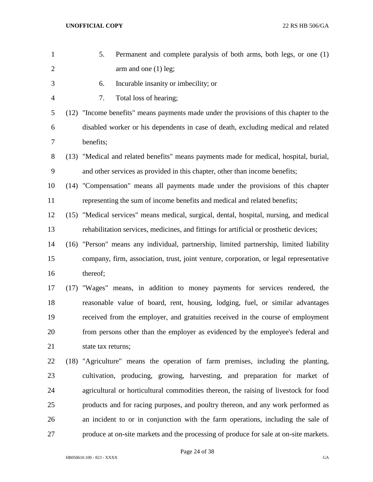| $\mathbf{1}$   | 5.<br>Permanent and complete paralysis of both arms, both legs, or one (1)              |
|----------------|-----------------------------------------------------------------------------------------|
| $\overline{c}$ | arm and one $(1)$ leg;                                                                  |
| 3              | Incurable insanity or imbecility; or<br>6.                                              |
| $\overline{4}$ | Total loss of hearing;<br>7.                                                            |
| 5              | (12) "Income benefits" means payments made under the provisions of this chapter to the  |
| 6              | disabled worker or his dependents in case of death, excluding medical and related       |
| 7              | benefits;                                                                               |
| 8              | (13) "Medical and related benefits" means payments made for medical, hospital, burial,  |
| 9              | and other services as provided in this chapter, other than income benefits;             |
| 10             | (14) "Compensation" means all payments made under the provisions of this chapter        |
| 11             | representing the sum of income benefits and medical and related benefits;               |
| 12             | (15) "Medical services" means medical, surgical, dental, hospital, nursing, and medical |
| 13             | rehabilitation services, medicines, and fittings for artificial or prosthetic devices;  |
| 14             | (16) "Person" means any individual, partnership, limited partnership, limited liability |
| 15             | company, firm, association, trust, joint venture, corporation, or legal representative  |
| 16             | thereof;                                                                                |
| 17             | (17) "Wages" means, in addition to money payments for services rendered, the            |
| 18             | reasonable value of board, rent, housing, lodging, fuel, or similar advantages          |
| 19             | received from the employer, and gratuities received in the course of employment         |
| 20             | from persons other than the employer as evidenced by the employee's federal and         |
| 21             | state tax returns;                                                                      |
| 22             | (18) "Agriculture" means the operation of farm premises, including the planting,        |
| 23             | cultivation, producing, growing, harvesting, and preparation for market of              |
| 24             | agricultural or horticultural commodities thereon, the raising of livestock for food    |
| 25             | products and for racing purposes, and poultry thereon, and any work performed as        |
| 26             | an incident to or in conjunction with the farm operations, including the sale of        |
| 27             | produce at on-site markets and the processing of produce for sale at on-site markets.   |
|                |                                                                                         |

Page 24 of 38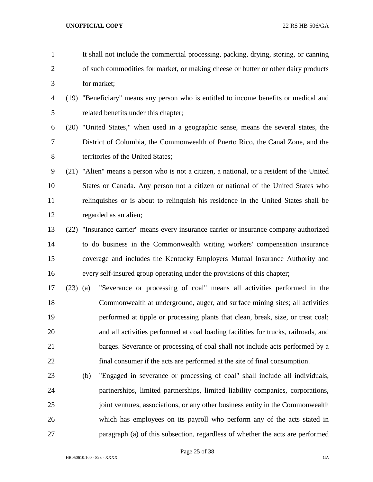- It shall not include the commercial processing, packing, drying, storing, or canning of such commodities for market, or making cheese or butter or other dairy products for market;
- (19) "Beneficiary" means any person who is entitled to income benefits or medical and related benefits under this chapter;
- (20) "United States," when used in a geographic sense, means the several states, the District of Columbia, the Commonwealth of Puerto Rico, the Canal Zone, and the 8 territories of the United States;
- (21) "Alien" means a person who is not a citizen, a national, or a resident of the United States or Canada. Any person not a citizen or national of the United States who relinquishes or is about to relinquish his residence in the United States shall be regarded as an alien;
- (22) "Insurance carrier" means every insurance carrier or insurance company authorized to do business in the Commonwealth writing workers' compensation insurance coverage and includes the Kentucky Employers Mutual Insurance Authority and every self-insured group operating under the provisions of this chapter;
- (23) (a) "Severance or processing of coal" means all activities performed in the Commonwealth at underground, auger, and surface mining sites; all activities performed at tipple or processing plants that clean, break, size, or treat coal; and all activities performed at coal loading facilities for trucks, railroads, and barges. Severance or processing of coal shall not include acts performed by a final consumer if the acts are performed at the site of final consumption.
- (b) "Engaged in severance or processing of coal" shall include all individuals, partnerships, limited partnerships, limited liability companies, corporations, joint ventures, associations, or any other business entity in the Commonwealth which has employees on its payroll who perform any of the acts stated in paragraph (a) of this subsection, regardless of whether the acts are performed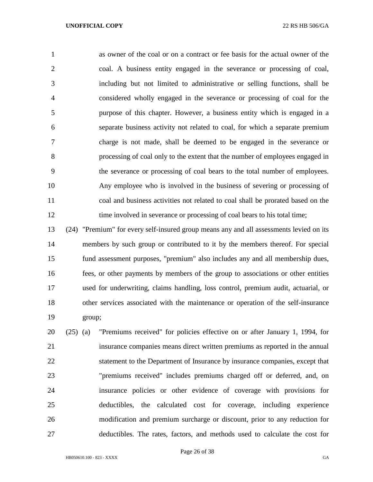as owner of the coal or on a contract or fee basis for the actual owner of the coal. A business entity engaged in the severance or processing of coal, including but not limited to administrative or selling functions, shall be considered wholly engaged in the severance or processing of coal for the purpose of this chapter. However, a business entity which is engaged in a separate business activity not related to coal, for which a separate premium charge is not made, shall be deemed to be engaged in the severance or processing of coal only to the extent that the number of employees engaged in the severance or processing of coal bears to the total number of employees. Any employee who is involved in the business of severing or processing of coal and business activities not related to coal shall be prorated based on the 12 time involved in severance or processing of coal bears to his total time;

 (24) "Premium" for every self-insured group means any and all assessments levied on its members by such group or contributed to it by the members thereof. For special fund assessment purposes, "premium" also includes any and all membership dues, fees, or other payments by members of the group to associations or other entities used for underwriting, claims handling, loss control, premium audit, actuarial, or other services associated with the maintenance or operation of the self-insurance group;

 (25) (a) "Premiums received" for policies effective on or after January 1, 1994, for insurance companies means direct written premiums as reported in the annual statement to the Department of Insurance by insurance companies, except that "premiums received" includes premiums charged off or deferred, and, on insurance policies or other evidence of coverage with provisions for deductibles, the calculated cost for coverage, including experience modification and premium surcharge or discount, prior to any reduction for deductibles. The rates, factors, and methods used to calculate the cost for

Page 26 of 38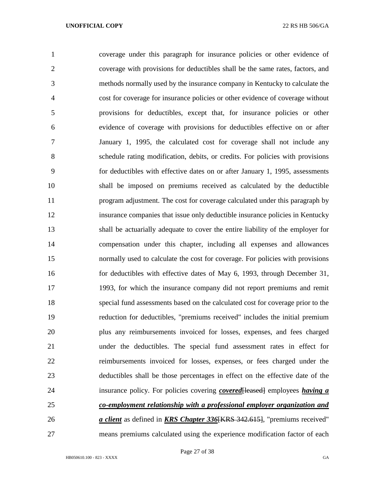coverage under this paragraph for insurance policies or other evidence of coverage with provisions for deductibles shall be the same rates, factors, and methods normally used by the insurance company in Kentucky to calculate the cost for coverage for insurance policies or other evidence of coverage without provisions for deductibles, except that, for insurance policies or other evidence of coverage with provisions for deductibles effective on or after January 1, 1995, the calculated cost for coverage shall not include any schedule rating modification, debits, or credits. For policies with provisions for deductibles with effective dates on or after January 1, 1995, assessments shall be imposed on premiums received as calculated by the deductible program adjustment. The cost for coverage calculated under this paragraph by insurance companies that issue only deductible insurance policies in Kentucky shall be actuarially adequate to cover the entire liability of the employer for compensation under this chapter, including all expenses and allowances normally used to calculate the cost for coverage. For policies with provisions for deductibles with effective dates of May 6, 1993, through December 31, 1993, for which the insurance company did not report premiums and remit special fund assessments based on the calculated cost for coverage prior to the reduction for deductibles, "premiums received" includes the initial premium plus any reimbursements invoiced for losses, expenses, and fees charged under the deductibles. The special fund assessment rates in effect for reimbursements invoiced for losses, expenses, or fees charged under the deductibles shall be those percentages in effect on the effective date of the insurance policy. For policies covering *covered*[leased] employees *having a co-employment relationship with a professional employer organization and a client* as defined in *KRS Chapter 336*[KRS 342.615], "premiums received" means premiums calculated using the experience modification factor of each

Page 27 of 38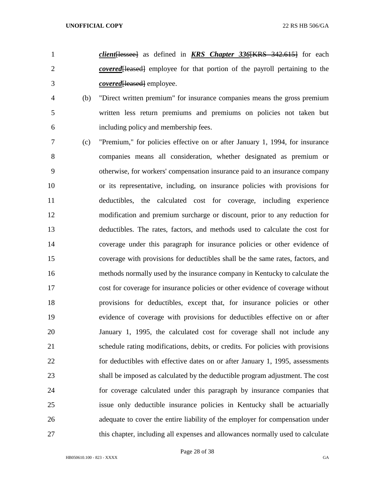- *client*[lessee] as defined in *KRS Chapter 336*[KRS 342.615] for each *covered* [leased] employee for that portion of the payroll pertaining to the *covered*[leased] employee.
- (b) "Direct written premium" for insurance companies means the gross premium written less return premiums and premiums on policies not taken but including policy and membership fees.
- (c) "Premium," for policies effective on or after January 1, 1994, for insurance companies means all consideration, whether designated as premium or otherwise, for workers' compensation insurance paid to an insurance company or its representative, including, on insurance policies with provisions for deductibles, the calculated cost for coverage, including experience modification and premium surcharge or discount, prior to any reduction for deductibles. The rates, factors, and methods used to calculate the cost for coverage under this paragraph for insurance policies or other evidence of coverage with provisions for deductibles shall be the same rates, factors, and methods normally used by the insurance company in Kentucky to calculate the cost for coverage for insurance policies or other evidence of coverage without provisions for deductibles, except that, for insurance policies or other evidence of coverage with provisions for deductibles effective on or after January 1, 1995, the calculated cost for coverage shall not include any schedule rating modifications, debits, or credits. For policies with provisions for deductibles with effective dates on or after January 1, 1995, assessments shall be imposed as calculated by the deductible program adjustment. The cost for coverage calculated under this paragraph by insurance companies that issue only deductible insurance policies in Kentucky shall be actuarially adequate to cover the entire liability of the employer for compensation under 27 this chapter, including all expenses and allowances normally used to calculate

Page 28 of 38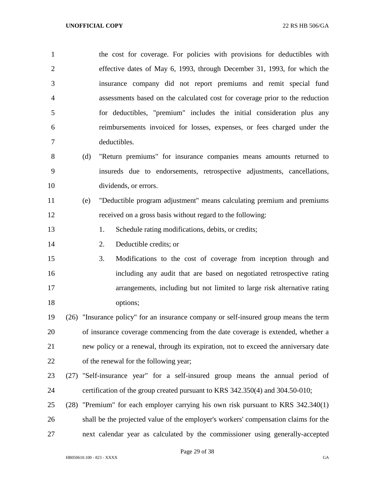the cost for coverage. For policies with provisions for deductibles with effective dates of May 6, 1993, through December 31, 1993, for which the insurance company did not report premiums and remit special fund assessments based on the calculated cost for coverage prior to the reduction for deductibles, "premium" includes the initial consideration plus any reimbursements invoiced for losses, expenses, or fees charged under the deductibles.

- (d) "Return premiums" for insurance companies means amounts returned to insureds due to endorsements, retrospective adjustments, cancellations, dividends, or errors.
- (e) "Deductible program adjustment" means calculating premium and premiums received on a gross basis without regard to the following:
- 13 1. Schedule rating modifications, debits, or credits;
- 2. Deductible credits; or
- 3. Modifications to the cost of coverage from inception through and including any audit that are based on negotiated retrospective rating arrangements, including but not limited to large risk alternative rating 18 options;
- (26) "Insurance policy" for an insurance company or self-insured group means the term of insurance coverage commencing from the date coverage is extended, whether a new policy or a renewal, through its expiration, not to exceed the anniversary date of the renewal for the following year;
- (27) "Self-insurance year" for a self-insured group means the annual period of certification of the group created pursuant to KRS 342.350(4) and 304.50-010;
- (28) "Premium" for each employer carrying his own risk pursuant to KRS 342.340(1) shall be the projected value of the employer's workers' compensation claims for the next calendar year as calculated by the commissioner using generally-accepted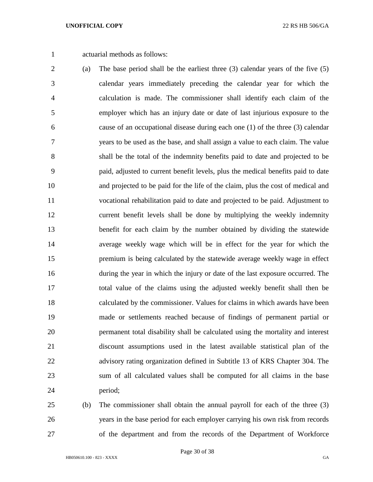actuarial methods as follows:

- (a) The base period shall be the earliest three (3) calendar years of the five (5) calendar years immediately preceding the calendar year for which the calculation is made. The commissioner shall identify each claim of the employer which has an injury date or date of last injurious exposure to the cause of an occupational disease during each one (1) of the three (3) calendar years to be used as the base, and shall assign a value to each claim. The value shall be the total of the indemnity benefits paid to date and projected to be paid, adjusted to current benefit levels, plus the medical benefits paid to date and projected to be paid for the life of the claim, plus the cost of medical and vocational rehabilitation paid to date and projected to be paid. Adjustment to current benefit levels shall be done by multiplying the weekly indemnity benefit for each claim by the number obtained by dividing the statewide average weekly wage which will be in effect for the year for which the premium is being calculated by the statewide average weekly wage in effect during the year in which the injury or date of the last exposure occurred. The total value of the claims using the adjusted weekly benefit shall then be calculated by the commissioner. Values for claims in which awards have been made or settlements reached because of findings of permanent partial or permanent total disability shall be calculated using the mortality and interest discount assumptions used in the latest available statistical plan of the advisory rating organization defined in Subtitle 13 of KRS Chapter 304. The sum of all calculated values shall be computed for all claims in the base period;
- (b) The commissioner shall obtain the annual payroll for each of the three (3) years in the base period for each employer carrying his own risk from records of the department and from the records of the Department of Workforce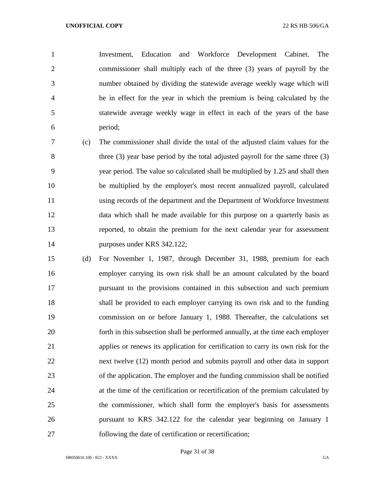Investment, Education and Workforce Development Cabinet. The commissioner shall multiply each of the three (3) years of payroll by the number obtained by dividing the statewide average weekly wage which will be in effect for the year in which the premium is being calculated by the statewide average weekly wage in effect in each of the years of the base period;

 (c) The commissioner shall divide the total of the adjusted claim values for the three (3) year base period by the total adjusted payroll for the same three (3) year period. The value so calculated shall be multiplied by 1.25 and shall then be multiplied by the employer's most recent annualized payroll, calculated using records of the department and the Department of Workforce Investment data which shall be made available for this purpose on a quarterly basis as reported, to obtain the premium for the next calendar year for assessment purposes under KRS 342.122;

 (d) For November 1, 1987, through December 31, 1988, premium for each employer carrying its own risk shall be an amount calculated by the board pursuant to the provisions contained in this subsection and such premium shall be provided to each employer carrying its own risk and to the funding commission on or before January 1, 1988. Thereafter, the calculations set forth in this subsection shall be performed annually, at the time each employer applies or renews its application for certification to carry its own risk for the next twelve (12) month period and submits payroll and other data in support of the application. The employer and the funding commission shall be notified at the time of the certification or recertification of the premium calculated by the commissioner, which shall form the employer's basis for assessments pursuant to KRS 342.122 for the calendar year beginning on January 1 following the date of certification or recertification;

Page 31 of 38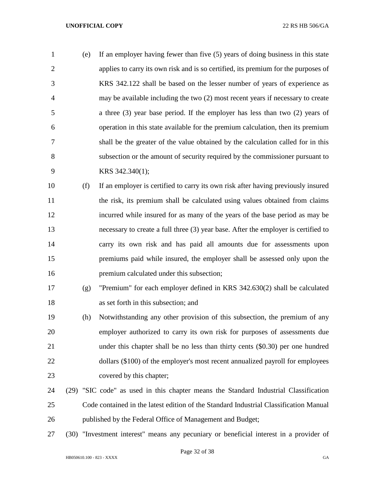| $\mathbf{1}$   | (e) | If an employer having fewer than five (5) years of doing business in this state    |
|----------------|-----|------------------------------------------------------------------------------------|
| 2              |     | applies to carry its own risk and is so certified, its premium for the purposes of |
| 3              |     | KRS 342.122 shall be based on the lesser number of years of experience as          |
| $\overline{4}$ |     | may be available including the two (2) most recent years if necessary to create    |
| 5              |     | a three $(3)$ year base period. If the employer has less than two $(2)$ years of   |
| 6              |     | operation in this state available for the premium calculation, then its premium    |
| $\overline{7}$ |     | shall be the greater of the value obtained by the calculation called for in this   |
| 8              |     | subsection or the amount of security required by the commissioner pursuant to      |
| 9              |     | KRS 342.340(1);                                                                    |
|                |     |                                                                                    |

- (f) If an employer is certified to carry its own risk after having previously insured the risk, its premium shall be calculated using values obtained from claims incurred while insured for as many of the years of the base period as may be necessary to create a full three (3) year base. After the employer is certified to carry its own risk and has paid all amounts due for assessments upon premiums paid while insured, the employer shall be assessed only upon the premium calculated under this subsection;
- (g) "Premium" for each employer defined in KRS 342.630(2) shall be calculated as set forth in this subsection; and
- (h) Notwithstanding any other provision of this subsection, the premium of any employer authorized to carry its own risk for purposes of assessments due under this chapter shall be no less than thirty cents (\$0.30) per one hundred 22 dollars (\$100) of the employer's most recent annualized payroll for employees covered by this chapter;
- (29) "SIC code" as used in this chapter means the Standard Industrial Classification Code contained in the latest edition of the Standard Industrial Classification Manual published by the Federal Office of Management and Budget;
- (30) "Investment interest" means any pecuniary or beneficial interest in a provider of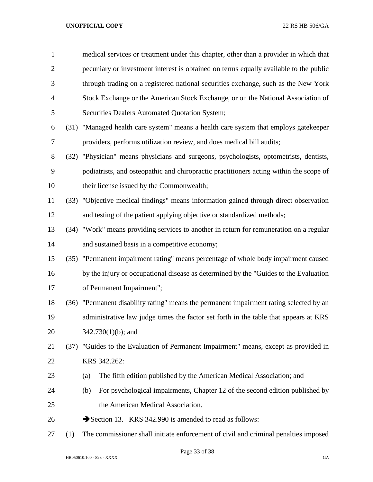| $\mathbf{1}$   |      | medical services or treatment under this chapter, other than a provider in which that   |
|----------------|------|-----------------------------------------------------------------------------------------|
| $\overline{2}$ |      | pecuniary or investment interest is obtained on terms equally available to the public   |
| 3              |      | through trading on a registered national securities exchange, such as the New York      |
| $\overline{4}$ |      | Stock Exchange or the American Stock Exchange, or on the National Association of        |
| 5              |      | Securities Dealers Automated Quotation System;                                          |
| 6              |      | (31) "Managed health care system" means a health care system that employs gatekeeper    |
| $\tau$         |      | providers, performs utilization review, and does medical bill audits;                   |
| 8              | (32) | "Physician" means physicians and surgeons, psychologists, optometrists, dentists,       |
| 9              |      | podiatrists, and osteopathic and chiropractic practitioners acting within the scope of  |
| 10             |      | their license issued by the Commonwealth;                                               |
| 11             |      | (33) "Objective medical findings" means information gained through direct observation   |
| 12             |      | and testing of the patient applying objective or standardized methods;                  |
| 13             |      | (34) "Work" means providing services to another in return for remuneration on a regular |
| 14             |      | and sustained basis in a competitive economy;                                           |
| 15             |      | (35) "Permanent impairment rating" means percentage of whole body impairment caused     |
| 16             |      | by the injury or occupational disease as determined by the "Guides to the Evaluation"   |
| 17             |      | of Permanent Impairment";                                                               |
| 18             |      | (36) "Permanent disability rating" means the permanent impairment rating selected by an |
| 19             |      | administrative law judge times the factor set forth in the table that appears at KRS    |
| 20             |      | $342.730(1)(b)$ ; and                                                                   |
| 21             | (37) | "Guides to the Evaluation of Permanent Impairment" means, except as provided in         |
| 22             |      | KRS 342.262:                                                                            |
| 23             |      | The fifth edition published by the American Medical Association; and<br>(a)             |
| 24             |      | For psychological impairments, Chapter 12 of the second edition published by<br>(b)     |
| 25             |      | the American Medical Association.                                                       |
| 26             |      | Section 13. KRS 342.990 is amended to read as follows:                                  |
| 27             | (1)  | The commissioner shall initiate enforcement of civil and criminal penalties imposed     |

Page 33 of 38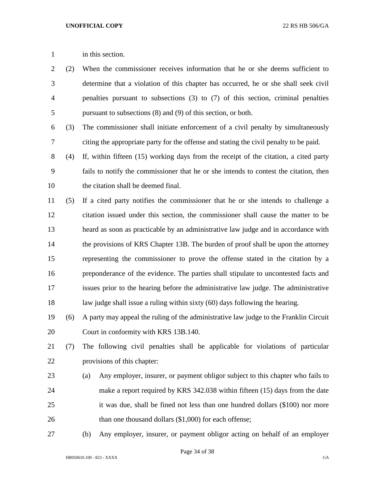(2) When the commissioner receives information that he or she deems sufficient to determine that a violation of this chapter has occurred, he or she shall seek civil penalties pursuant to subsections (3) to (7) of this section, criminal penalties pursuant to subsections (8) and (9) of this section, or both.

 (3) The commissioner shall initiate enforcement of a civil penalty by simultaneously citing the appropriate party for the offense and stating the civil penalty to be paid.

 (4) If, within fifteen (15) working days from the receipt of the citation, a cited party fails to notify the commissioner that he or she intends to contest the citation, then the citation shall be deemed final.

 (5) If a cited party notifies the commissioner that he or she intends to challenge a citation issued under this section, the commissioner shall cause the matter to be heard as soon as practicable by an administrative law judge and in accordance with 14 the provisions of KRS Chapter 13B. The burden of proof shall be upon the attorney representing the commissioner to prove the offense stated in the citation by a preponderance of the evidence. The parties shall stipulate to uncontested facts and issues prior to the hearing before the administrative law judge. The administrative law judge shall issue a ruling within sixty (60) days following the hearing.

 (6) A party may appeal the ruling of the administrative law judge to the Franklin Circuit Court in conformity with KRS 13B.140.

 (7) The following civil penalties shall be applicable for violations of particular provisions of this chapter:

- (a) Any employer, insurer, or payment obligor subject to this chapter who fails to make a report required by KRS 342.038 within fifteen (15) days from the date it was due, shall be fined not less than one hundred dollars (\$100) nor more 26 than one thousand dollars (\$1,000) for each offense;
- 

(b) Any employer, insurer, or payment obligor acting on behalf of an employer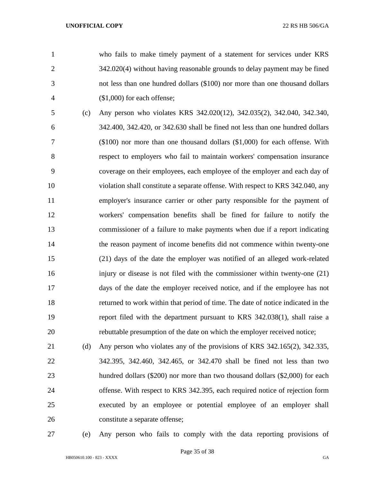who fails to make timely payment of a statement for services under KRS 342.020(4) without having reasonable grounds to delay payment may be fined not less than one hundred dollars (\$100) nor more than one thousand dollars (\$1,000) for each offense;

 (c) Any person who violates KRS 342.020(12), 342.035(2), 342.040, 342.340, 342.400, 342.420, or 342.630 shall be fined not less than one hundred dollars (\$100) nor more than one thousand dollars (\$1,000) for each offense. With respect to employers who fail to maintain workers' compensation insurance coverage on their employees, each employee of the employer and each day of violation shall constitute a separate offense. With respect to KRS 342.040, any employer's insurance carrier or other party responsible for the payment of workers' compensation benefits shall be fined for failure to notify the commissioner of a failure to make payments when due if a report indicating the reason payment of income benefits did not commence within twenty-one (21) days of the date the employer was notified of an alleged work-related injury or disease is not filed with the commissioner within twenty-one (21) days of the date the employer received notice, and if the employee has not returned to work within that period of time. The date of notice indicated in the report filed with the department pursuant to KRS 342.038(1), shall raise a rebuttable presumption of the date on which the employer received notice;

 (d) Any person who violates any of the provisions of KRS 342.165(2), 342.335, 342.395, 342.460, 342.465, or 342.470 shall be fined not less than two hundred dollars (\$200) nor more than two thousand dollars (\$2,000) for each offense. With respect to KRS 342.395, each required notice of rejection form executed by an employee or potential employee of an employer shall constitute a separate offense;

(e) Any person who fails to comply with the data reporting provisions of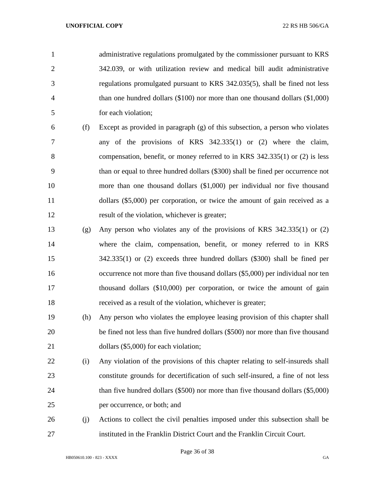administrative regulations promulgated by the commissioner pursuant to KRS 342.039, or with utilization review and medical bill audit administrative regulations promulgated pursuant to KRS 342.035(5), shall be fined not less than one hundred dollars (\$100) nor more than one thousand dollars (\$1,000) for each violation;

- (f) Except as provided in paragraph (g) of this subsection, a person who violates any of the provisions of KRS 342.335(1) or (2) where the claim, compensation, benefit, or money referred to in KRS 342.335(1) or (2) is less than or equal to three hundred dollars (\$300) shall be fined per occurrence not more than one thousand dollars (\$1,000) per individual nor five thousand dollars (\$5,000) per corporation, or twice the amount of gain received as a result of the violation, whichever is greater;
- (g) Any person who violates any of the provisions of KRS 342.335(1) or (2) where the claim, compensation, benefit, or money referred to in KRS 342.335(1) or (2) exceeds three hundred dollars (\$300) shall be fined per occurrence not more than five thousand dollars (\$5,000) per individual nor ten thousand dollars (\$10,000) per corporation, or twice the amount of gain received as a result of the violation, whichever is greater;
- (h) Any person who violates the employee leasing provision of this chapter shall be fined not less than five hundred dollars (\$500) nor more than five thousand 21 dollars (\$5,000) for each violation;
- (i) Any violation of the provisions of this chapter relating to self-insureds shall constitute grounds for decertification of such self-insured, a fine of not less than five hundred dollars (\$500) nor more than five thousand dollars (\$5,000) per occurrence, or both; and
- (j) Actions to collect the civil penalties imposed under this subsection shall be instituted in the Franklin District Court and the Franklin Circuit Court.

Page 36 of 38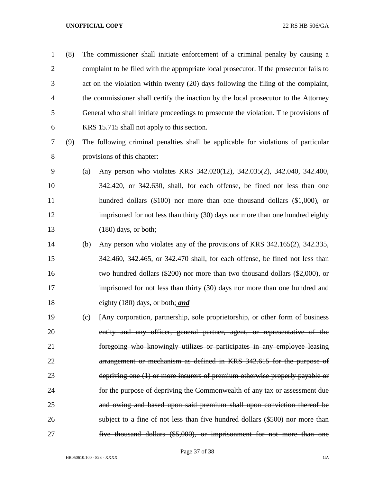(8) The commissioner shall initiate enforcement of a criminal penalty by causing a complaint to be filed with the appropriate local prosecutor. If the prosecutor fails to act on the violation within twenty (20) days following the filing of the complaint, the commissioner shall certify the inaction by the local prosecutor to the Attorney General who shall initiate proceedings to prosecute the violation. The provisions of KRS 15.715 shall not apply to this section.

- (9) The following criminal penalties shall be applicable for violations of particular provisions of this chapter:
- (a) Any person who violates KRS 342.020(12), 342.035(2), 342.040, 342.400, 342.420, or 342.630, shall, for each offense, be fined not less than one hundred dollars (\$100) nor more than one thousand dollars (\$1,000), or imprisoned for not less than thirty (30) days nor more than one hundred eighty 13 (180) days, or both;
- (b) Any person who violates any of the provisions of KRS 342.165(2), 342.335, 342.460, 342.465, or 342.470 shall, for each offense, be fined not less than two hundred dollars (\$200) nor more than two thousand dollars (\$2,000), or imprisoned for not less than thirty (30) days nor more than one hundred and eighty (180) days, or both; *and*
- (c) [Any corporation, partnership, sole proprietorship, or other form of business 20 entity and any officer, general partner, agent, or representative of the foregoing who knowingly utilizes or participates in any employee leasing arrangement or mechanism as defined in KRS 342.615 for the purpose of depriving one (1) or more insurers of premium otherwise properly payable or for the purpose of depriving the Commonwealth of any tax or assessment due and owing and based upon said premium shall upon conviction thereof be subject to a fine of not less than five hundred dollars (\$500) nor more than five thousand dollars (\$5,000), or imprisonment for not more than one